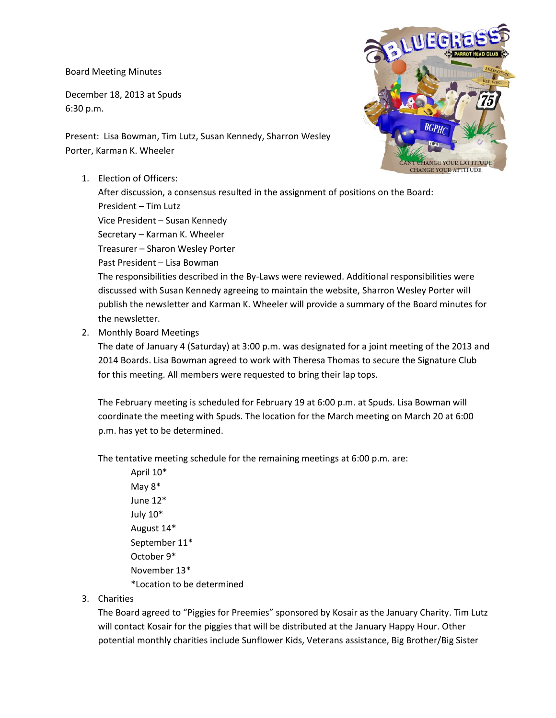Board Meeting Minutes

December 18, 2013 at Spuds 6:30 p.m.

Present: Lisa Bowman, Tim Lutz, Susan Kennedy, Sharron Wesley Porter, Karman K. Wheeler

1. Election of Officers:

After discussion, a consensus resulted in the assignment of positions on the Board: President – Tim Lutz Vice President – Susan Kennedy Secretary – Karman K. Wheeler Treasurer – Sharon Wesley Porter Past President – Lisa Bowman The responsibilities described in the By-Laws were reviewed. Additional responsibilities were discussed with Susan Kennedy agreeing to maintain the website, Sharron Wesley Porter will publish the newsletter and Karman K. Wheeler will provide a summary of the Board minutes for the newsletter.

2. Monthly Board Meetings

The date of January 4 (Saturday) at 3:00 p.m. was designated for a joint meeting of the 2013 and 2014 Boards. Lisa Bowman agreed to work with Theresa Thomas to secure the Signature Club for this meeting. All members were requested to bring their lap tops.

The February meeting is scheduled for February 19 at 6:00 p.m. at Spuds. Lisa Bowman will coordinate the meeting with Spuds. The location for the March meeting on March 20 at 6:00 p.m. has yet to be determined.

The tentative meeting schedule for the remaining meetings at 6:00 p.m. are:

April 10\* May 8\* June 12\* July 10\* August 14\* September 11\* October 9\* November 13\* \*Location to be determined

3. Charities

The Board agreed to "Piggies for Preemies" sponsored by Kosair as the January Charity. Tim Lutz will contact Kosair for the piggies that will be distributed at the January Happy Hour. Other potential monthly charities include Sunflower Kids, Veterans assistance, Big Brother/Big Sister

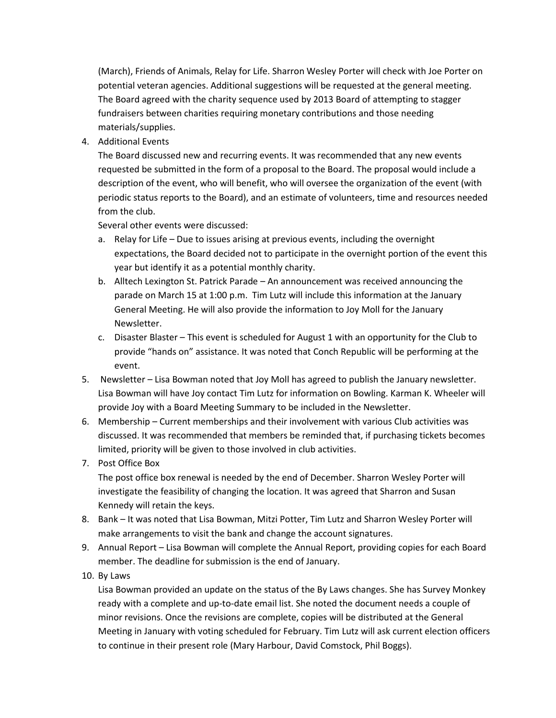(March), Friends of Animals, Relay for Life. Sharron Wesley Porter will check with Joe Porter on potential veteran agencies. Additional suggestions will be requested at the general meeting. The Board agreed with the charity sequence used by 2013 Board of attempting to stagger fundraisers between charities requiring monetary contributions and those needing materials/supplies.

4. Additional Events

The Board discussed new and recurring events. It was recommended that any new events requested be submitted in the form of a proposal to the Board. The proposal would include a description of the event, who will benefit, who will oversee the organization of the event (with periodic status reports to the Board), and an estimate of volunteers, time and resources needed from the club.

Several other events were discussed:

- a. Relay for Life Due to issues arising at previous events, including the overnight expectations, the Board decided not to participate in the overnight portion of the event this year but identify it as a potential monthly charity.
- b. Alltech Lexington St. Patrick Parade An announcement was received announcing the parade on March 15 at 1:00 p.m. Tim Lutz will include this information at the January General Meeting. He will also provide the information to Joy Moll for the January Newsletter.
- c. Disaster Blaster This event is scheduled for August 1 with an opportunity for the Club to provide "hands on" assistance. It was noted that Conch Republic will be performing at the event.
- 5. Newsletter Lisa Bowman noted that Joy Moll has agreed to publish the January newsletter. Lisa Bowman will have Joy contact Tim Lutz for information on Bowling. Karman K. Wheeler will provide Joy with a Board Meeting Summary to be included in the Newsletter.
- 6. Membership Current memberships and their involvement with various Club activities was discussed. It was recommended that members be reminded that, if purchasing tickets becomes limited, priority will be given to those involved in club activities.
- 7. Post Office Box

The post office box renewal is needed by the end of December. Sharron Wesley Porter will investigate the feasibility of changing the location. It was agreed that Sharron and Susan Kennedy will retain the keys.

- 8. Bank It was noted that Lisa Bowman, Mitzi Potter, Tim Lutz and Sharron Wesley Porter will make arrangements to visit the bank and change the account signatures.
- 9. Annual Report Lisa Bowman will complete the Annual Report, providing copies for each Board member. The deadline for submission is the end of January.
- 10. By Laws

Lisa Bowman provided an update on the status of the By Laws changes. She has Survey Monkey ready with a complete and up-to-date email list. She noted the document needs a couple of minor revisions. Once the revisions are complete, copies will be distributed at the General Meeting in January with voting scheduled for February. Tim Lutz will ask current election officers to continue in their present role (Mary Harbour, David Comstock, Phil Boggs).